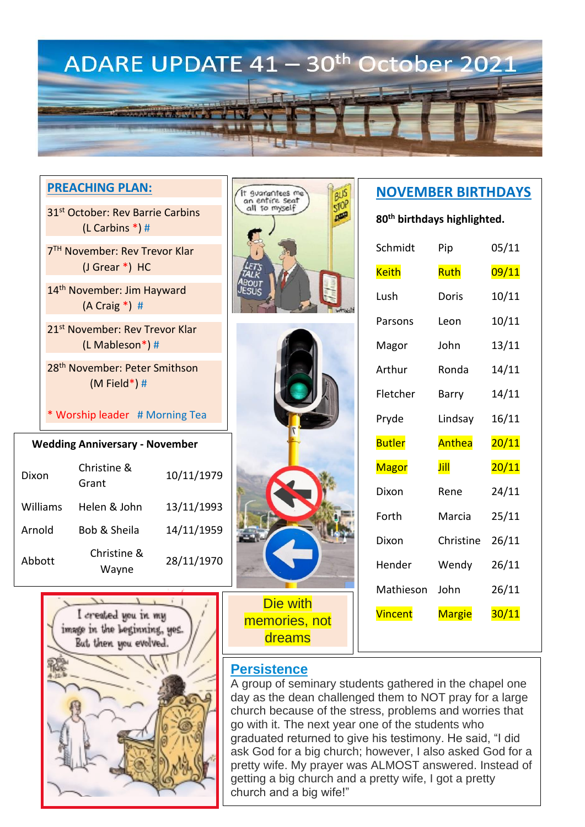

### **PREACHING PLAN:**

31<sup>st</sup> October: Rev Barrie Carbins (L Carbins \*) #

7 TH November: Rev Trevor Klar (J Grear \*) HC

14<sup>th</sup> November: Jim Hayward (A Craig \*) #

21st November: Rev Trevor Klar (L Mableson\*) #

28th November: Peter Smithson (M Field\*) #

\* Worship leader # Morning Tea

#### **Wedding Anniversary - November**

| Dixon    | Christine &<br>Grant | 10/11/1979 |
|----------|----------------------|------------|
| Williams | Helen & John         | 13/11/1993 |
| Arnold   | Bob & Sheila         | 14/11/1959 |
| Abbott   | Christine &<br>Wayne | 28/11/1970 |





Die with memories, not dreams

# **NOVEMBER BIRTHDAYS**

**80th birthdays highlighted.**

| Schmidt       | Pip       | 05/11 |
|---------------|-----------|-------|
| <b>Keith</b>  | Ruth      | 09/11 |
| Lush          | Doris     | 10/11 |
| Parsons       | Leon      | 10/11 |
| Magor         | John      | 13/11 |
| Arthur        | Ronda     | 14/11 |
| Fletcher      | Barry     | 14/11 |
| Pryde         | Lindsay   | 16/11 |
|               |           |       |
| <b>Butler</b> | Anthea    | 20/11 |
| <b>Magor</b>  | Jill      | 20/11 |
| Dixon         | Rene      | 24/11 |
| Forth         | Marcia    | 25/11 |
| Dixon         | Christine | 26/11 |
| Hender        | Wendy     | 26/11 |
| Mathieson     | John      | 26/11 |



**Persistence**

A group of seminary students gathered in the chapel one day as the dean challenged them to NOT pray for a large church because of the stress, problems and worries that go with it. The next year one of the students who graduated returned to give his testimony. He said, "I did ask God for a big church; however, I also asked God for a pretty wife. My prayer was ALMOST answered. Instead of getting a big church and a pretty wife, I got a pretty church and a big wife!"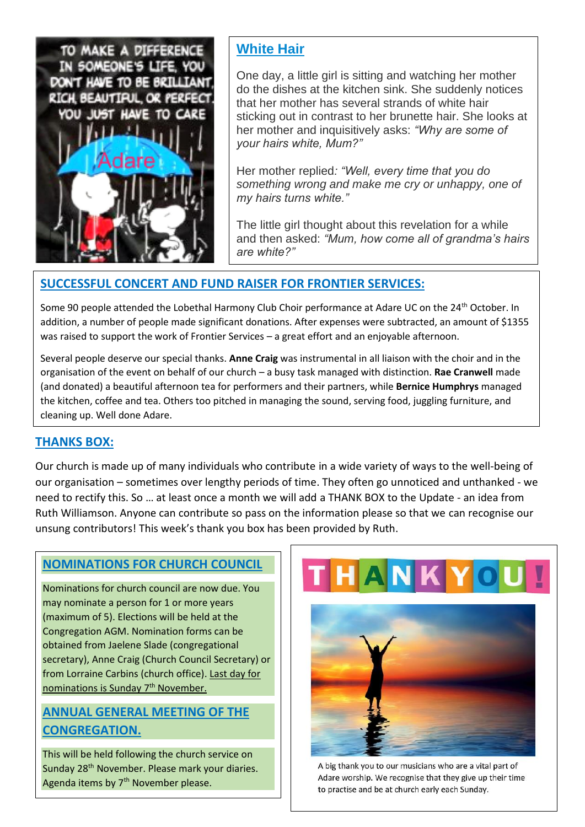

### **White Hair**

One day, a little girl is sitting and watching her mother do the dishes at the kitchen sink. She suddenly notices that her mother has several strands of white hair sticking out in contrast to her brunette hair. She looks at her mother and inquisitively asks: *"Why are some of your hairs white, Mum?"*

Her mother replied*: "Well, every time that you do something wrong and make me cry or unhappy, one of my hairs turns white."*

The little girl thought about this revelation for a while and then asked: *"Mum, how come all of grandma's hairs are white?"*

#### **SUCCESSFUL CONCERT AND FUND RAISER FOR FRONTIER SERVICES:**

Some 90 people attended the Lobethal Harmony Club Choir performance at Adare UC on the 24<sup>th</sup> October. In addition, a number of people made significant donations. After expenses were subtracted, an amount of \$1355 was raised to support the work of Frontier Services – a great effort and an enjoyable afternoon.

Several people deserve our special thanks. **Anne Craig** was instrumental in all liaison with the choir and in the organisation of the event on behalf of our church – a busy task managed with distinction. **Rae Cranwell** made (and donated) a beautiful afternoon tea for performers and their partners, while **Bernice Humphrys** managed the kitchen, coffee and tea. Others too pitched in managing the sound, serving food, juggling furniture, and cleaning up. Well done Adare.

### **THANKS BOX:**

Our church is made up of many individuals who contribute in a wide variety of ways to the well-being of our organisation – sometimes over lengthy periods of time. They often go unnoticed and unthanked - we need to rectify this. So … at least once a month we will add a THANK BOX to the Update - an idea from Ruth Williamson. Anyone can contribute so pass on the information please so that we can recognise our unsung contributors! This week's thank you box has been provided by Ruth.

### **NOMINATIONS FOR CHURCH COUNCIL**

Nominations for church council are now due. You may nominate a person for 1 or more years (maximum of 5). Elections will be held at the Congregation AGM. Nomination forms can be obtained from Jaelene Slade (congregational secretary), Anne Craig (Church Council Secretary) or from Lorraine Carbins (church office). Last day for nominations is Sunday 7th November.

### **ANNUAL GENERAL MEETING OF THE CONGREGATION.**

This will be held following the church service on Sunday 28<sup>th</sup> November. Please mark your diaries. Agenda items by 7<sup>th</sup> November please.



A big thank you to our musicians who are a vital part of Adare worship. We recognise that they give up their time to practise and be at church early each Sunday.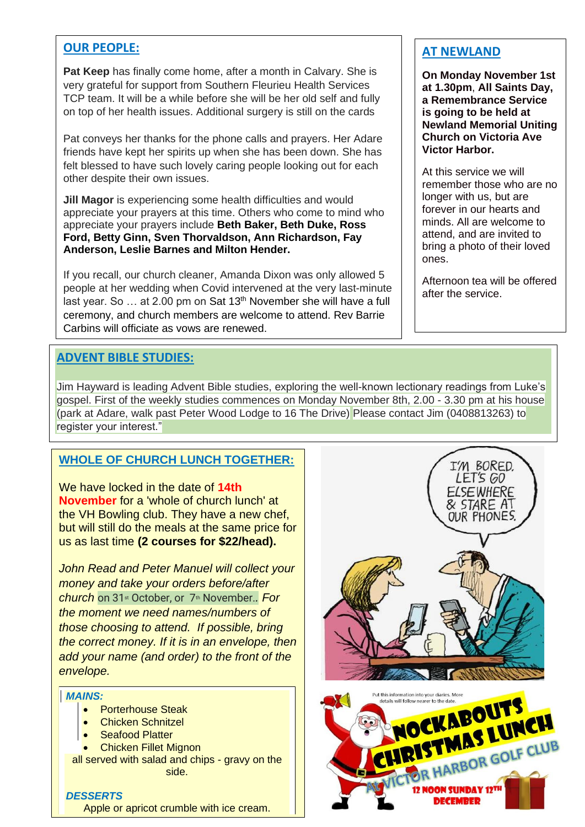#### **OUR PEOPLE:**

**Pat Keep** has finally come home, after a month in Calvary. She is very grateful for support from Southern Fleurieu Health Services TCP team. It will be a while before she will be her old self and fully on top of her health issues. Additional surgery is still on the cards

Pat conveys her thanks for the phone calls and prayers. Her Adare friends have kept her spirits up when she has been down. She has felt blessed to have such lovely caring people looking out for each other despite their own issues.

**Jill Magor** is experiencing some health difficulties and would appreciate your prayers at this time. Others who come to mind who appreciate your prayers include **Beth Baker, Beth Duke, Ross Ford, Betty Ginn, Sven Thorvaldson, Ann Richardson, Fay Anderson, Leslie Barnes and Milton Hender.**

If you recall, our church cleaner, Amanda Dixon was only allowed 5 people at her wedding when Covid intervened at the very last-minute last year. So ... at 2.00 pm on Sat 13<sup>th</sup> November she will have a full ceremony, and church members are welcome to attend. Rev Barrie Carbins will officiate as vows are renewed.

### **ADVENT BIBLE STUDIES:**

Jim Hayward is leading Advent Bible studies, exploring the well-known lectionary readings from Luke's gospel. First of the weekly studies commences on Monday November 8th, 2.00 - 3.30 pm at his house (park at Adare, walk past Peter Wood Lodge to 16 The Drive) Please contact Jim (0408813263) to register your interest."

#### **WHOLE OF CHURCH LUNCH TOGETHER:**

We have locked in the date of **14th November** for a 'whole of church lunch' at the VH Bowling club. They have a new chef, but will still do the meals at the same price for us as last time **(2 courses for \$22/head).**

*John Read and Peter Manuel will collect your money and take your orders before/after church* on 31st October, or 7th November.*. For the moment we need names/numbers of those choosing to attend. If possible, bring the correct money. If it is in an envelope, then add your name (and order) to the front of the envelope.*

#### *MAINS:*

- Porterhouse Steak
- Chicken Schnitzel
- Seafood Platter
- Chicken Fillet Mignon
- all served with salad and chips gravy on the side.

*DESSERTS* Apple or apricot crumble with ice cream. **AT NEWLAND**

**On Monday November 1st at 1.30pm**, **All Saints Day, a Remembrance Service is going to be held at Newland Memorial Uniting Church on Victoria Ave Victor Harbor.**

At this service we will remember those who are no longer with us, but are forever in our hearts and minds. All are welcome to attend, and are invited to bring a photo of their loved ones.

Afternoon tea will be offered after the service.